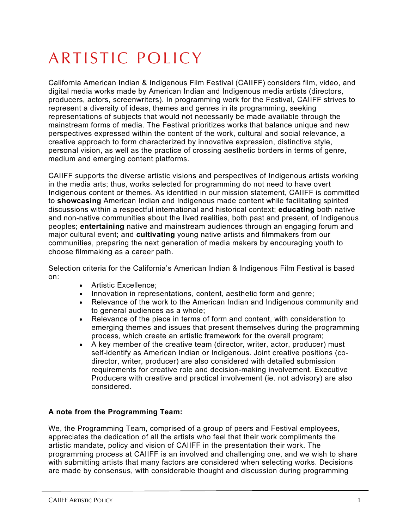## ARTISTIC POLICY

California American Indian & Indigenous Film Festival (CAIIFF) considers film, video, and digital media works made by American Indian and Indigenous media artists (directors, producers, actors, screenwriters). In programming work for the Festival, CAIIFF strives to represent a diversity of ideas, themes and genres in its programming, seeking representations of subjects that would not necessarily be made available through the mainstream forms of media. The Festival prioritizes works that balance unique and new perspectives expressed within the content of the work, cultural and social relevance, a creative approach to form characterized by innovative expression, distinctive style, personal vision, as well as the practice of crossing aesthetic borders in terms of genre, medium and emerging content platforms.

CAIIFF supports the diverse artistic visions and perspectives of Indigenous artists working in the media arts; thus, works selected for programming do not need to have overt Indigenous content or themes. As identified in our mission statement, CAIIFF is committed to **showcasing** American Indian and Indigenous made content while facilitating spirited discussions within a respectful international and historical context; **educating** both native and non-native communities about the lived realities, both past and present, of Indigenous peoples; **entertaining** native and mainstream audiences through an engaging forum and major cultural event; and **cultivating** young native artists and filmmakers from our communities, preparing the next generation of media makers by encouraging youth to choose filmmaking as a career path.

Selection criteria for the California's American Indian & Indigenous Film Festival is based on:

- Artistic Excellence;
- Innovation in representations, content, aesthetic form and genre;
- Relevance of the work to the American Indian and Indigenous community and to general audiences as a whole;
- Relevance of the piece in terms of form and content, with consideration to emerging themes and issues that present themselves during the programming process, which create an artistic framework for the overall program;
- A key member of the creative team (director, writer, actor, producer) must self-identify as American Indian or Indigenous. Joint creative positions (codirector, writer, producer) are also considered with detailed submission requirements for creative role and decision-making involvement. Executive Producers with creative and practical involvement (ie. not advisory) are also considered.

## **A note from the Programming Team:**

We, the Programming Team, comprised of a group of peers and Festival employees, appreciates the dedication of all the artists who feel that their work compliments the artistic mandate, policy and vision of CAIIFF in the presentation their work. The programming process at CAIIFF is an involved and challenging one, and we wish to share with submitting artists that many factors are considered when selecting works. Decisions are made by consensus, with considerable thought and discussion during programming